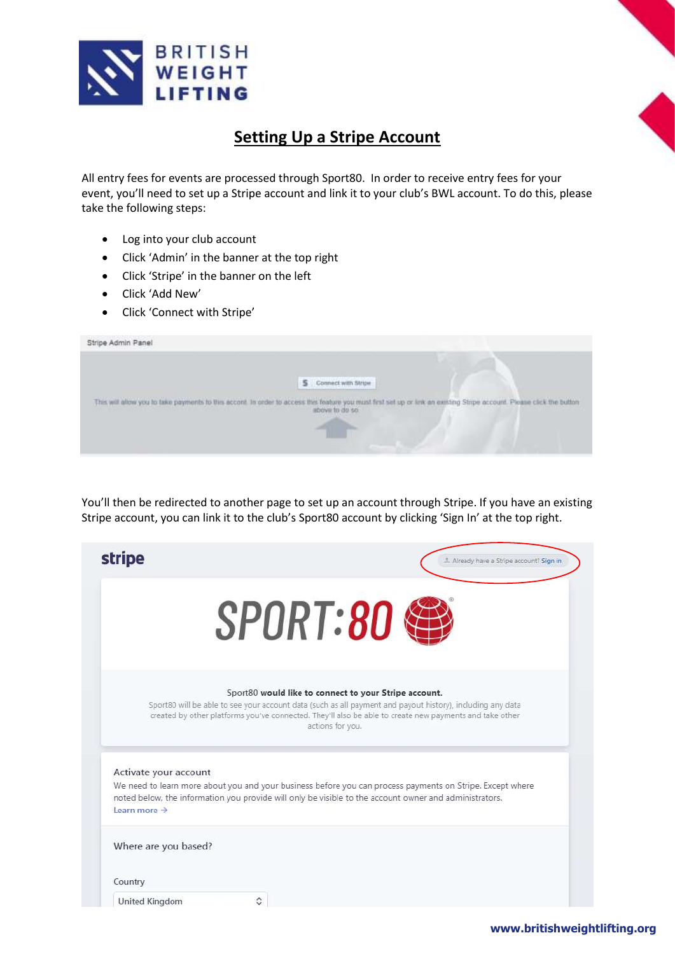

# **Setting Up a Stripe Account**

All entry fees for events are processed through Sport80. In order to receive entry fees for your event, you'll need to set up a Stripe account and link it to your club's BWL account. To do this, please take the following steps:

- Log into your club account
- Click 'Admin' in the banner at the top right
- Click 'Stripe' in the banner on the left
- Click 'Add New'
- Click 'Connect with Stripe'

| Stripe Admin Panel                                                                                              |                                                                                                                                                                                                                                                                                                                                                                                                                            |
|-----------------------------------------------------------------------------------------------------------------|----------------------------------------------------------------------------------------------------------------------------------------------------------------------------------------------------------------------------------------------------------------------------------------------------------------------------------------------------------------------------------------------------------------------------|
|                                                                                                                 | ٠                                                                                                                                                                                                                                                                                                                                                                                                                          |
|                                                                                                                 | Connect with Stripe<br>s                                                                                                                                                                                                                                                                                                                                                                                                   |
| the contract of the contract of the contract of the contract of the contract of the contract of the contract of | This will allow you to take payments to this accord. In order to access this feature you must first set up or link an existing Stirpe account. Please click the button<br>above to do so.<br>the control of the control of the control of the control of the control of the control of the control of the control of the control of the control of the control of the control of the control of the control of the control |
|                                                                                                                 | <b>HITSUNG COLL</b>                                                                                                                                                                                                                                                                                                                                                                                                        |
|                                                                                                                 |                                                                                                                                                                                                                                                                                                                                                                                                                            |

You'll then be redirected to another page to set up an account through Stripe. If you have an existing Stripe account, you can link it to the club's Sport80 account by clicking 'Sign In' at the top right.

| <b>stripe</b>            | L. Already have a Stripe account? Sign in                                                                                                                                                                                                                                                          |
|--------------------------|----------------------------------------------------------------------------------------------------------------------------------------------------------------------------------------------------------------------------------------------------------------------------------------------------|
|                          | <b>SPORT:80</b>                                                                                                                                                                                                                                                                                    |
|                          | Sport80 would like to connect to your Stripe account.<br>Sport80 will be able to see your account data (such as all payment and payout history), including any data<br>created by other platforms you've connected. They'll also be able to create new payments and take other<br>actions for you. |
| Activate your account    | We need to learn more about you and your business before you can process payments on Stripe. Except where                                                                                                                                                                                          |
| Learn more $\rightarrow$ | noted below, the information you provide will only be visible to the account owner and administrators.                                                                                                                                                                                             |
| Where are you based?     |                                                                                                                                                                                                                                                                                                    |
| Country                  |                                                                                                                                                                                                                                                                                                    |
|                          |                                                                                                                                                                                                                                                                                                    |

# **www.britishweightlifting.org**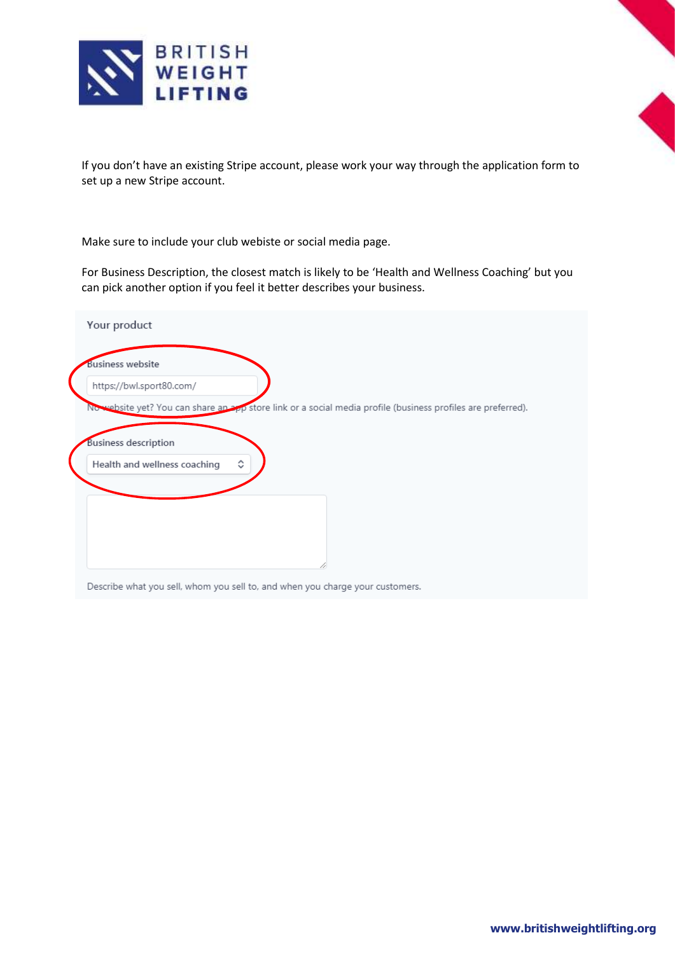

If you don't have an existing Stripe account, please work your way through the application form to set up a new Stripe account.

Make sure to include your club webiste or social media page.

For Business Description, the closest match is likely to be 'Health and Wellness Coaching' but you can pick another option if you feel it better describes your business.

| https://bwl.sport80.com/<br>No website yet? You can share an app store link or a social media profile (business profiles are preferred).<br><b>Business description</b><br>≎ | <b>Business website</b>      |  |
|------------------------------------------------------------------------------------------------------------------------------------------------------------------------------|------------------------------|--|
|                                                                                                                                                                              |                              |  |
|                                                                                                                                                                              |                              |  |
|                                                                                                                                                                              |                              |  |
|                                                                                                                                                                              |                              |  |
|                                                                                                                                                                              | Health and wellness coaching |  |
|                                                                                                                                                                              |                              |  |
|                                                                                                                                                                              |                              |  |
|                                                                                                                                                                              |                              |  |
|                                                                                                                                                                              |                              |  |
|                                                                                                                                                                              |                              |  |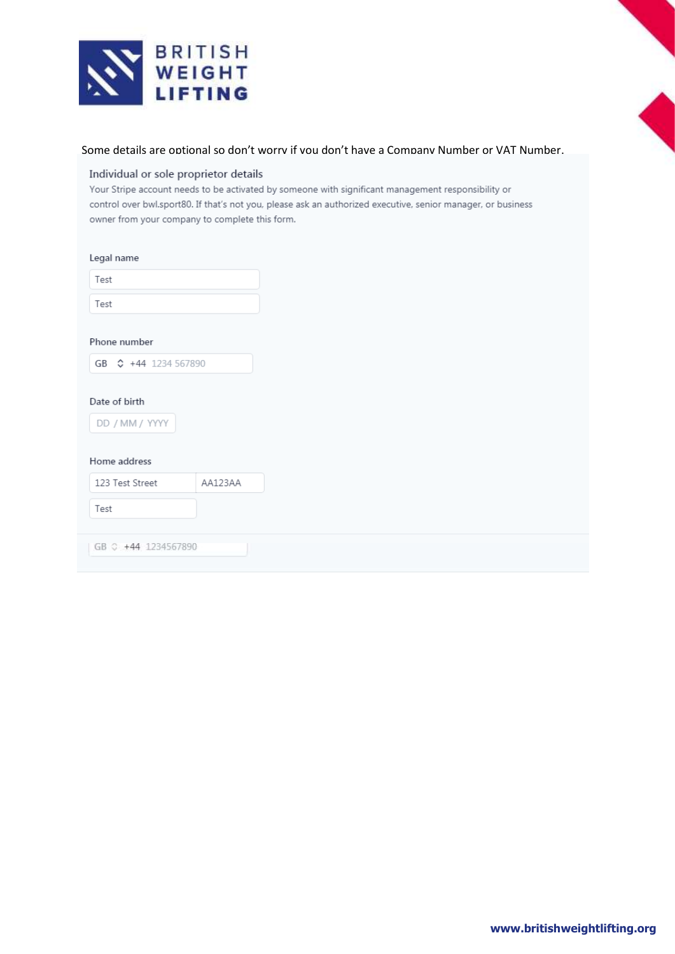



### Individual or sole proprietor details

Your Stripe account needs to be activated by someone with significant management responsibility or control over bwl.sport80. If that's not you, please ask an authorized executive, senior manager, or business owner from your company to complete this form.

| Legal name |
|------------|
|------------|

| Test                                            |         |  |
|-------------------------------------------------|---------|--|
| Test                                            |         |  |
| Phone number                                    |         |  |
| GB $\text{\degree}$ +44 1234 567890             |         |  |
| Date of birth<br>DD / MM / YYYY<br>Home address |         |  |
| 123 Test Street                                 | AA123AA |  |
| Test                                            |         |  |
| GB C +44 1234567890                             |         |  |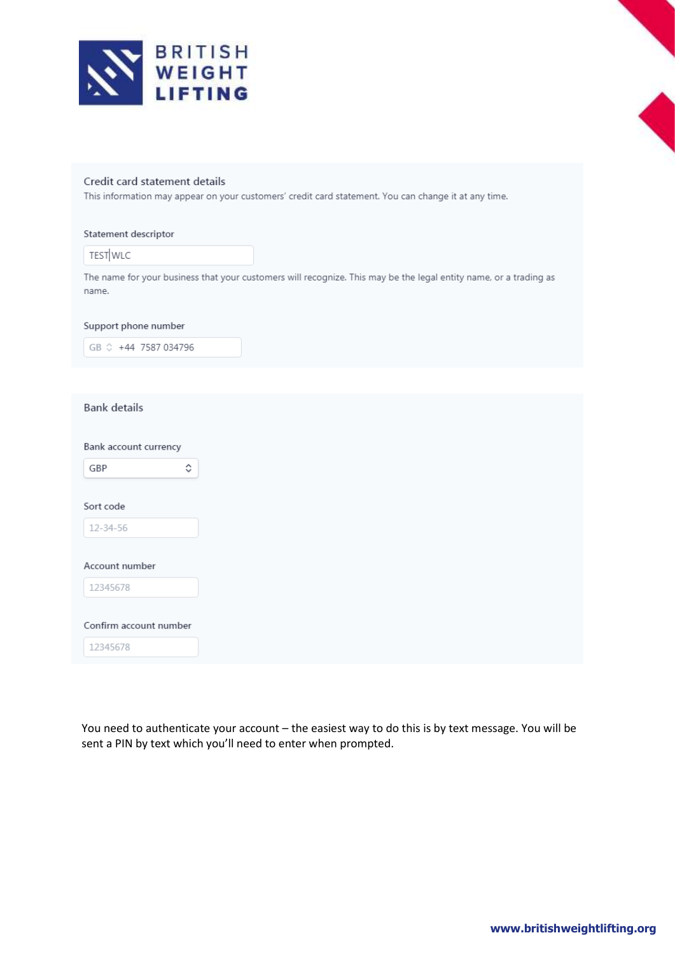

# Credit card statement details

This information may appear on your customers' credit card statement. You can change it at any time.

## Statement descriptor

TEST WLC

The name for your business that your customers will recognize. This may be the legal entity name, or a trading as name.

#### Support phone number

GB  $\degree$  +44 7587 034796

## **Bank details**

Bank account currency

 $\hat{\mathbb{C}}$ 

GBP

Sort code

12-34-56

#### Account number

12345678

Confirm account number

12345678

You need to authenticate your account - the easiest way to do this is by text message. You will be sent a PIN by text which you'll need to enter when prompted.